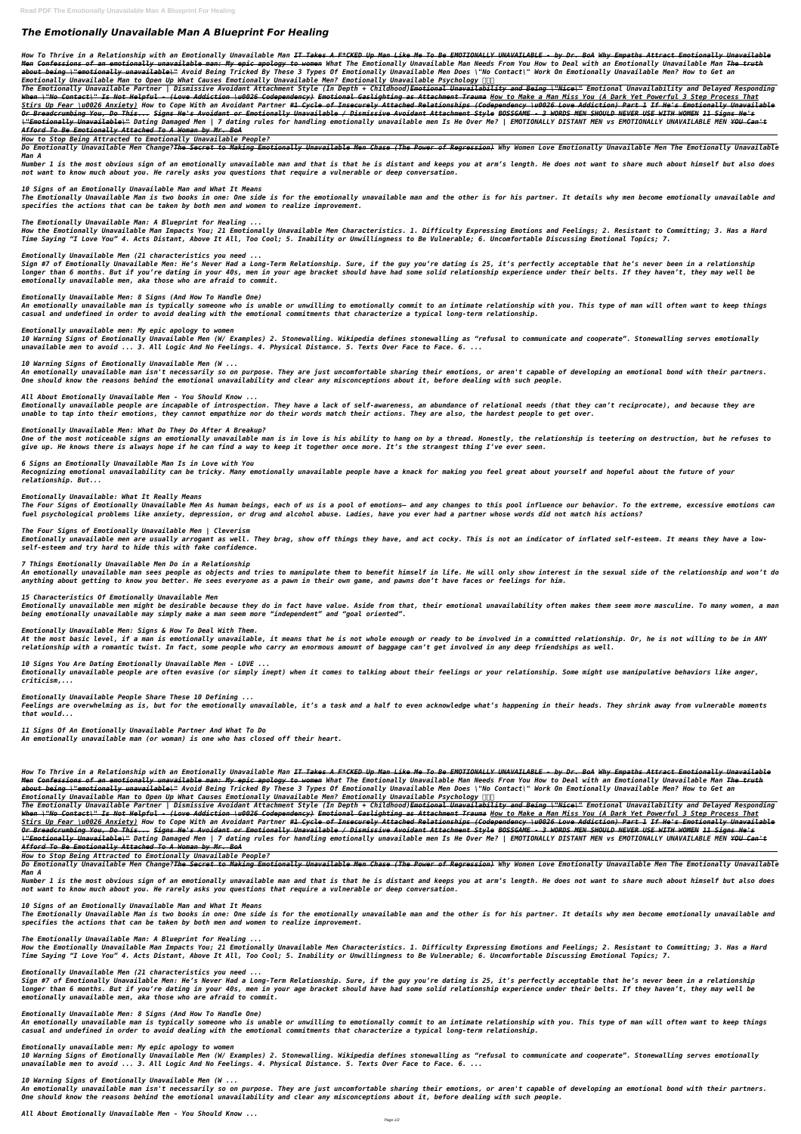# *The Emotionally Unavailable Man A Blueprint For Healing*

*How To Thrive in a Relationship with an Emotionally Unavailable Man IT Takes A F\*CKED Up Man Like Me To Be EMOTIONALLY UNAVAILABLE - by Dr. BoA Why Empaths Attract Emotionally Unavailable Men Confessions of an emotionally unavailable man: My epic apology to women What The Emotionally Unavailable Man Needs From You How to Deal with an Emotionally Unavailable Man The truth about being \"emotionally unavailable\" Avoid Being Tricked By These 3 Types Of Emotionally Unavailable Men Does \"No Contact\" Work On Emotionally Unavailable Men? How to Get an Emotionally Unavailable Man to Open Up What Causes Emotionally Unavailable Men? Emotionally Unavailable Psychology* 

*The Emotionally Unavailable Partner | Dismissive Avoidant Attachment Style (In Depth + Childhood)Emotional Unavailability and Being \"Nice\" Emotional Unavailability and Delayed Responding When \"No Contact\" Is Not Helpful - (Love Addiction \u0026 Codependency) Emotional Gaslighting as Attachment Trauma How to Make a Man Miss You (A Dark Yet Powerful 3 Step Process That Stirs Up Fear \u0026 Anxiety) How to Cope With an Avoidant Partner #1 Cycle of Insecurely Attached Relationships (Codependency \u0026 Love Addiction) Part 1 If He's Emotionally Unavailable Or Breadcrumbing You, Do This... Signs He's Avoidant or Emotionally Unavailable / Dismissive Avoidant Attachment Style BOSSGAME - 3 WORDS MEN SHOULD NEVER USE WITH WOMEN 11 Signs He's \"Emotionally Unavailable\" Dating Damaged Men | 7 dating rules for handling emotionally unavailable men Is He Over Me? | EMOTIONALLY DISTANT MEN vs EMOTIONALLY UNAVAILABLE MEN YOU Can't Afford To Be Emotionally Attached To A Woman by Mr. BoA*

*How to Stop Being Attracted to Emotionally Unavailable People?*

*Do Emotionally Unavailable Men Change?The Secret to Making Emotionally Unavailable Men Chase (The Power of Regression) Why Women Love Emotionally Unavailable Men The Emotionally Unavailable Man A*

*Number 1 is the most obvious sign of an emotionally unavailable man and that is that he is distant and keeps you at arm's length. He does not want to share much about himself but also does not want to know much about you. He rarely asks you questions that require a vulnerable or deep conversation.*

*10 Signs of an Emotionally Unavailable Man and What It Means*

*The Emotionally Unavailable Man is two books in one: One side is for the emotionally unavailable man and the other is for his partner. It details why men become emotionally unavailable and specifies the actions that can be taken by both men and women to realize improvement.*

*The Emotionally Unavailable Man: A Blueprint for Healing ...*

*How the Emotionally Unavailable Man Impacts You; 21 Emotionally Unavailable Men Characteristics. 1. Difficulty Expressing Emotions and Feelings; 2. Resistant to Committing; 3. Has a Hard Time Saying "I Love You" 4. Acts Distant, Above It All, Too Cool; 5. Inability or Unwillingness to Be Vulnerable; 6. Uncomfortable Discussing Emotional Topics; 7.*

*Emotionally Unavailable Men (21 characteristics you need ...*

*Sign #7 of Emotionally Unavailable Men: He's Never Had a Long-Term Relationship. Sure, if the guy you're dating is 25, it's perfectly acceptable that he's never been in a relationship longer than 6 months. But if you're dating in your 40s, men in your age bracket should have had some solid relationship experience under their belts. If they haven't, they may well be emotionally unavailable men, aka those who are afraid to commit.*

*Emotionally Unavailable Men: 8 Signs (And How To Handle One)*

*An emotionally unavailable man is typically someone who is unable or unwilling to emotionally commit to an intimate relationship with you. This type of man will often want to keep things casual and undefined in order to avoid dealing with the emotional commitments that characterize a typical long-term relationship.*

#### *Emotionally unavailable men: My epic apology to women*

*10 Warning Signs of Emotionally Unavailable Men (W/ Examples) 2. Stonewalling. Wikipedia defines stonewalling as "refusal to communicate and cooperate". Stonewalling serves emotionally unavailable men to avoid ... 3. All Logic And No Feelings. 4. Physical Distance. 5. Texts Over Face to Face. 6. ...*

*10 Warning Signs of Emotionally Unavailable Men (W ...*

*An emotionally unavailable man isn't necessarily so on purpose. They are just uncomfortable sharing their emotions, or aren't capable of developing an emotional bond with their partners. One should know the reasons behind the emotional unavailability and clear any misconceptions about it, before dealing with such people.*

*All About Emotionally Unavailable Men - You Should Know ...*

*Emotionally unavailable people are incapable of introspection. They have a lack of self-awareness, an abundance of relational needs (that they can't reciprocate), and because they are unable to tap into their emotions, they cannot empathize nor do their words match their actions. They are also, the hardest people to get over.*

#### *Emotionally Unavailable Men: What Do They Do After A Breakup?*

*One of the most noticeable signs an emotionally unavailable man is in love is his ability to hang on by a thread. Honestly, the relationship is teetering on destruction, but he refuses to give up. He knows there is always hope if he can find a way to keep it together once more. It's the strangest thing I've ever seen.*

#### *6 Signs an Emotionally Unavailable Man Is in Love with You*

*Recognizing emotional unavailability can be tricky. Many emotionally unavailable people have a knack for making you feel great about yourself and hopeful about the future of your relationship. But...*

#### *Emotionally Unavailable: What It Really Means*

*The Four Signs of Emotionally Unavailable Men As human beings, each of us is a pool of emotions– and any changes to this pool influence our behavior. To the extreme, excessive emotions can fuel psychological problems like anxiety, depression, or drug and alcohol abuse. Ladies, have you ever had a partner whose words did not match his actions?*

## *The Four Signs of Emotionally Unavailable Men | Cleverism*

*Emotionally unavailable men are usually arrogant as well. They brag, show off things they have, and act cocky. This is not an indicator of inflated self-esteem. It means they have a lowself-esteem and try hard to hide this with fake confidence.*

### *7 Things Emotionally Unavailable Men Do in a Relationship*

*An emotionally unavailable man sees people as objects and tries to manipulate them to benefit himself in life. He will only show interest in the sexual side of the relationship and won't do anything about getting to know you better. He sees everyone as a pawn in their own game, and pawns don't have faces or feelings for him.*

### *15 Characteristics Of Emotionally Unavailable Men*

*Emotionally unavailable men might be desirable because they do in fact have value. Aside from that, their emotional unavailability often makes them seem more masculine. To many women, a man being emotionally unavailable may simply make a man seem more "independent" and "goal oriented".*

### *Emotionally Unavailable Men: Signs & How To Deal With Them.*

*At the most basic level, if a man is emotionally unavailable, it means that he is not whole enough or ready to be involved in a committed relationship. Or, he is not willing to be in ANY relationship with a romantic twist. In fact, some people who carry an enormous amount of baggage can't get involved in any deep friendships as well.*

# *10 Signs You Are Dating Emotionally Unavailable Men - LOVE ...*

*Emotionally unavailable people are often evasive (or simply inept) when it comes to talking about their feelings or your relationship. Some might use manipulative behaviors like anger, criticism,...*

#### *Emotionally Unavailable People Share These 10 Defining ...*

*Feelings are overwhelming as is, but for the emotionally unavailable, it's a task and a half to even acknowledge what's happening in their heads. They shrink away from vulnerable moments that would...*

*11 Signs Of An Emotionally Unavailable Partner And What To Do An emotionally unavailable man (or woman) is one who has closed off their heart.*

*How To Thrive in a Relationship with an Emotionally Unavailable Man IT Takes A F\*CKED Up Man Like Me To Be EMOTIONALLY UNAVAILABLE - by Dr. BoA Why Empaths Attract Emotionally Unavailable Men Confessions of an emotionally unavailable man: My epic apology to women What The Emotionally Unavailable Man Needs From You How to Deal with an Emotionally Unavailable Man The truth about being \"emotionally unavailable\" Avoid Being Tricked By These 3 Types Of Emotionally Unavailable Men Does \"No Contact\" Work On Emotionally Unavailable Men? How to Get an Emotionally Unavailable Man to Open Up What Causes Emotionally Unavailable Men? Emotionally Unavailable Psychology* 

*The Emotionally Unavailable Partner | Dismissive Avoidant Attachment Style (In Depth + Childhood)Emotional Unavailability and Being \"Nice\" Emotional Unavailability and Delayed Responding When \"No Contact\" Is Not Helpful - (Love Addiction \u0026 Codependency) Emotional Gaslighting as Attachment Trauma How to Make a Man Miss You (A Dark Yet Powerful 3 Step Process That Stirs Up Fear \u0026 Anxiety) How to Cope With an Avoidant Partner #1 Cycle of Insecurely Attached Relationships (Codependency \u0026 Love Addiction) Part 1 If He's Emotionally Unavailable Or Breadcrumbing You, Do This... Signs He's Avoidant or Emotionally Unavailable / Dismissive Avoidant Attachment Style BOSSGAME - 3 WORDS MEN SHOULD NEVER USE WITH WOMEN 11 Signs He's \"Emotionally Unavailable\" Dating Damaged Men | 7 dating rules for handling emotionally unavailable men Is He Over Me? | EMOTIONALLY DISTANT MEN vs EMOTIONALLY UNAVAILABLE MEN YOU Can't Afford To Be Emotionally Attached To A Woman by Mr. BoA*

*How to Stop Being Attracted to Emotionally Unavailable People?*

*Do Emotionally Unavailable Men Change?The Secret to Making Emotionally Unavailable Men Chase (The Power of Regression) Why Women Love Emotionally Unavailable Men The Emotionally Unavailable Man A*

*Number 1 is the most obvious sign of an emotionally unavailable man and that is that he is distant and keeps you at arm's length. He does not want to share much about himself but also does not want to know much about you. He rarely asks you questions that require a vulnerable or deep conversation.*

*10 Signs of an Emotionally Unavailable Man and What It Means*

*The Emotionally Unavailable Man is two books in one: One side is for the emotionally unavailable man and the other is for his partner. It details why men become emotionally unavailable and specifies the actions that can be taken by both men and women to realize improvement.*

*The Emotionally Unavailable Man: A Blueprint for Healing ...*

*How the Emotionally Unavailable Man Impacts You; 21 Emotionally Unavailable Men Characteristics. 1. Difficulty Expressing Emotions and Feelings; 2. Resistant to Committing; 3. Has a Hard Time Saying "I Love You" 4. Acts Distant, Above It All, Too Cool; 5. Inability or Unwillingness to Be Vulnerable; 6. Uncomfortable Discussing Emotional Topics; 7.*

*Emotionally Unavailable Men (21 characteristics you need ...*

*Sign #7 of Emotionally Unavailable Men: He's Never Had a Long-Term Relationship. Sure, if the guy you're dating is 25, it's perfectly acceptable that he's never been in a relationship longer than 6 months. But if you're dating in your 40s, men in your age bracket should have had some solid relationship experience under their belts. If they haven't, they may well be emotionally unavailable men, aka those who are afraid to commit.*

*Emotionally Unavailable Men: 8 Signs (And How To Handle One)*

*An emotionally unavailable man is typically someone who is unable or unwilling to emotionally commit to an intimate relationship with you. This type of man will often want to keep things casual and undefined in order to avoid dealing with the emotional commitments that characterize a typical long-term relationship.*

*Emotionally unavailable men: My epic apology to women*

*10 Warning Signs of Emotionally Unavailable Men (W/ Examples) 2. Stonewalling. Wikipedia defines stonewalling as "refusal to communicate and cooperate". Stonewalling serves emotionally unavailable men to avoid ... 3. All Logic And No Feelings. 4. Physical Distance. 5. Texts Over Face to Face. 6. ...*

*10 Warning Signs of Emotionally Unavailable Men (W ...*

*An emotionally unavailable man isn't necessarily so on purpose. They are just uncomfortable sharing their emotions, or aren't capable of developing an emotional bond with their partners. One should know the reasons behind the emotional unavailability and clear any misconceptions about it, before dealing with such people.*

*All About Emotionally Unavailable Men - You Should Know ...*